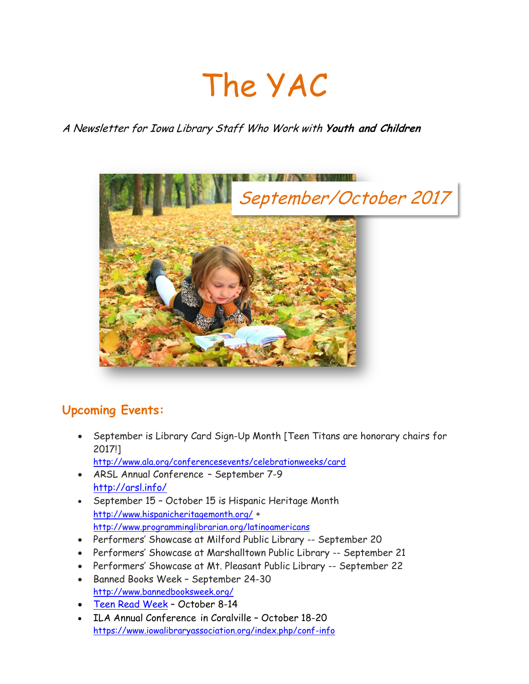# The YAC

## A Newsletter for Iowa Library Staff Who Work with **Youth and Children**



# **Upcoming Events:**

 September is Library Card Sign-Up Month [Teen Titans are honorary chairs for 2017!]

<http://www.ala.org/conferencesevents/celebrationweeks/card>

- ARSL Annual Conference September 7-9 <http://arsl.info/>
- September 15 October 15 is Hispanic Heritage Month <http://www.hispanicheritagemonth.org/> + <http://www.programminglibrarian.org/latinoamericans>
- Performers' Showcase at Milford Public Library -- September 20
- Performers' Showcase at Marshalltown Public Library -- September 21
- Performers' Showcase at Mt. Pleasant Public Library -- September 22
- Banned Books Week September 24-30 <http://www.bannedbooksweek.org/>
- [Teen Read Week](http://teenreadweek.ning.com/) October 8-14
- ILA Annual Conference in Coralville October 18-20 <https://www.iowalibraryassociation.org/index.php/conf-info>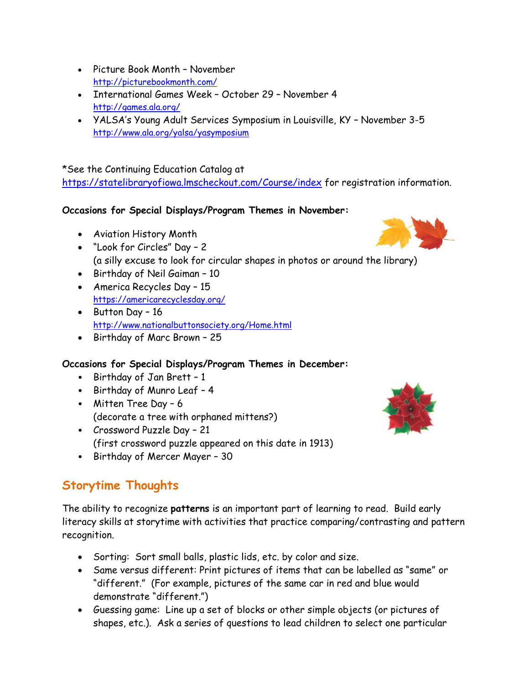- Picture Book Month November <http://picturebookmonth.com/>
- International Games Week October 29 November 4 <http://games.ala.org/>
- YALSA's Young Adult Services Symposium in Louisville, KY November 3-5 <http://www.ala.org/yalsa/yasymposium>

#### \*See the Continuing Education Catalog at

<https://statelibraryofiowa.lmscheckout.com/Course/index> for registration information.

#### **Occasions for Special Displays/Program Themes in November:**

- Aviation History Month
- "Look for Circles" Day 2 (a silly excuse to look for circular shapes in photos or around the library)
- Birthday of Neil Gaiman 10
- America Recycles Day 15 <https://americarecyclesday.org/>
- $\bullet$  Button Day 16 <http://www.nationalbuttonsociety.org/Home.html>
- Birthday of Marc Brown 25

### **Occasions for Special Displays/Program Themes in December:**

- Birthday of Jan Brett 1
- Birthday of Munro Leaf 4
- Mitten Tree Day 6 (decorate a tree with orphaned mittens?)
- Crossword Puzzle Day 21 (first crossword puzzle appeared on this date in 1913)
- Birthday of Mercer Mayer 30

# **Storytime Thoughts**

The ability to recognize **patterns** is an important part of learning to read. Build early literacy skills at storytime with activities that practice comparing/contrasting and pattern recognition.

- Sorting: Sort small balls, plastic lids, etc. by color and size.
- Same versus different: Print pictures of items that can be labelled as "same" or "different." (For example, pictures of the same car in red and blue would demonstrate "different.")
- Guessing game: Line up a set of blocks or other simple objects (or pictures of shapes, etc.). Ask a series of questions to lead children to select one particular



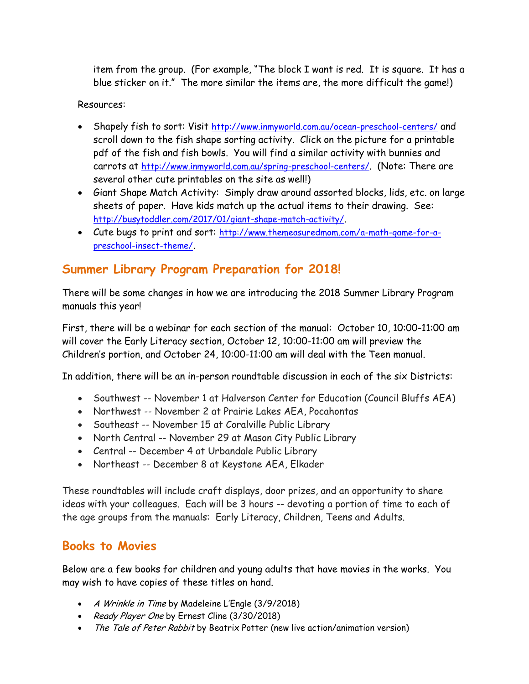item from the group. (For example, "The block I want is red. It is square. It has a blue sticker on it." The more similar the items are, the more difficult the game!)

#### Resources:

- Shapely fish to sort: Visit <http://www.inmyworld.com.au/ocean-preschool-centers/> and scroll down to the fish shape sorting activity. Click on the picture for a printable pdf of the fish and fish bowls. You will find a similar activity with bunnies and carrots at <http://www.inmyworld.com.au/spring-preschool-centers/>. (Note: There are several other cute printables on the site as well!)
- Giant Shape Match Activity: Simply draw around assorted blocks, lids, etc. on large sheets of paper. Have kids match up the actual items to their drawing. See: <http://busytoddler.com/2017/01/giant-shape-match-activity/>.
- Cute bugs to print and sort: [http://www.themeasuredmom.com/a-math-game-for-a](http://www.themeasuredmom.com/a-math-game-for-a-preschool-insect-theme/)[preschool-insect-theme/](http://www.themeasuredmom.com/a-math-game-for-a-preschool-insect-theme/).

## **Summer Library Program Preparation for 2018!**

There will be some changes in how we are introducing the 2018 Summer Library Program manuals this year!

First, there will be a webinar for each section of the manual: October 10, 10:00-11:00 am will cover the Early Literacy section, October 12, 10:00-11:00 am will preview the Children's portion, and October 24, 10:00-11:00 am will deal with the Teen manual.

In addition, there will be an in-person roundtable discussion in each of the six Districts:

- Southwest -- November 1 at Halverson Center for Education (Council Bluffs AEA)
- Northwest -- November 2 at Prairie Lakes AEA, Pocahontas
- Southeast -- November 15 at Coralville Public Library
- North Central -- November 29 at Mason City Public Library
- Central -- December 4 at Urbandale Public Library
- Northeast -- December 8 at Keystone AEA, Elkader

These roundtables will include craft displays, door prizes, and an opportunity to share ideas with your colleagues. Each will be 3 hours -- devoting a portion of time to each of the age groups from the manuals: Early Literacy, Children, Teens and Adults.

## **Books to Movies**

Below are a few books for children and young adults that have movies in the works. You may wish to have copies of these titles on hand.

- A Wrinkle in Time by Madeleine L'Engle (3/9/2018)
- Ready Player One by Ernest Cline (3/30/2018)
- The Tale of Peter Rabbit by Beatrix Potter (new live action/animation version)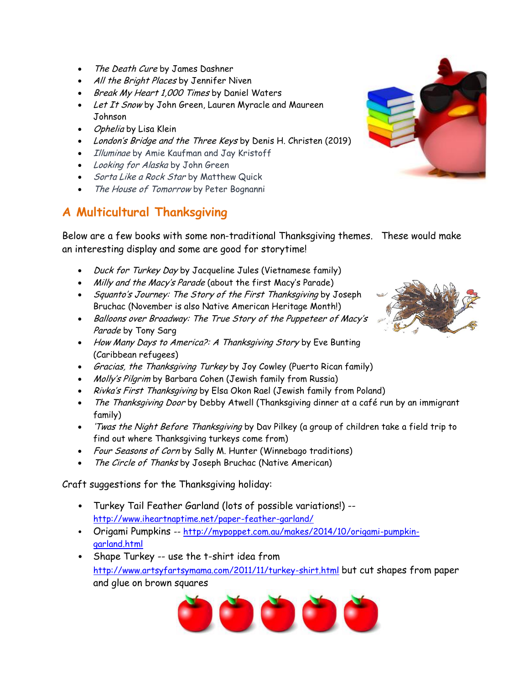- The Death Cure by James Dashner
- All the Bright Places by Jennifer Niven
- Break My Heart 1,000 Times by Daniel Waters
- Let It Snow by John Green, Lauren Myracle and Maureen Johnson
- *Ophelia* by Lisa Klein
- London's Bridge and the Three Keys by Denis H. Christen (2019)
- *Illuminae* by Amie Kaufman and Jay Kristoff
- Looking for Alaska by John Green
- Sorta Like a Rock Star by Matthew Quick
- The House of Tomorrow by Peter Bognanni

# **A Multicultural Thanksgiving**



Below are a few books with some non-traditional Thanksgiving themes. These would make an interesting display and some are good for storytime!

- Duck for Turkey Day by Jacqueline Jules (Vietnamese family)
- Milly and the Macy's Parade (about the first Macy's Parade)
- Squanto's Journey: The Story of the First Thanksgiving by Joseph Bruchac (November is also Native American Heritage Month!)
- Balloons over Broadway: The True Story of the Puppeteer of Macy's Parade by Tony Sarg
- How Many Days to America?: A Thanksgiving Story by Eve Bunting (Caribbean refugees)
- *Gracias, the Thanksgiving Turkey* by Joy Cowley (Puerto Rican family)
- Molly's Pilgrim by Barbara Cohen (Jewish family from Russia)
- Rivka's First Thanksgiving by Elsa Okon Rael (Jewish family from Poland)
- The Thanksgiving Door by Debby Atwell (Thanksgiving dinner at a café run by an immigrant family)
- . Twas the Night Before Thanksgiving by Dav Pilkey (a group of children take a field trip to find out where Thanksgiving turkeys come from)
- Four Seasons of Corn by Sally M. Hunter (Winnebago traditions)
- The Circle of Thanks by Joseph Bruchac (Native American)

Craft suggestions for the Thanksgiving holiday:

- Turkey Tail Feather Garland (lots of possible variations!) <http://www.iheartnaptime.net/paper-feather-garland/>
- Origami Pumpkins -- [http://mypoppet.com.au/makes/2014/10/origami-pumpkin](http://mypoppet.com.au/makes/2014/10/origami-pumpkin-garland.html)[garland.html](http://mypoppet.com.au/makes/2014/10/origami-pumpkin-garland.html)
- Shape Turkey -- use the t-shirt idea from <http://www.artsyfartsymama.com/2011/11/turkey-shirt.html> but cut shapes from paper and glue on brown squares



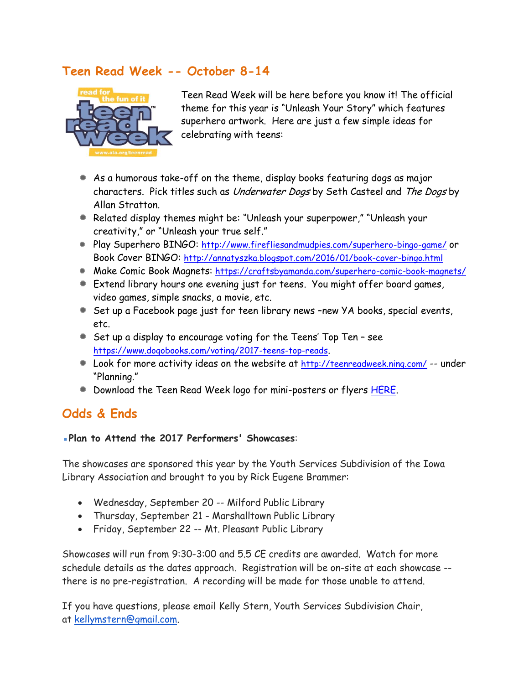# **Teen Read Week -- October 8-14**



Teen Read Week will be here before you know it! The official theme for this year is "Unleash Your Story" which features superhero artwork. Here are just a few simple ideas for celebrating with teens:

- As a humorous take-off on the theme, display books featuring dogs as major characters. Pick titles such as Underwater Dogs by Seth Casteel and The Dogs by Allan Stratton.
- Related display themes might be: "Unleash your superpower," "Unleash your creativity," or "Unleash your true self."
- Play Superhero BINGO: <http://www.firefliesandmudpies.com/superhero-bingo-game/> or Book Cover BINGO: <http://annatyszka.blogspot.com/2016/01/book-cover-bingo.html>
- Make Comic Book Magnets: <https://craftsbyamanda.com/superhero-comic-book-magnets/>
- Extend library hours one evening just for teens. You might offer board games, video games, simple snacks, a movie, etc.
- Set up a Facebook page just for teen library news –new YA books, special events, etc.
- Set up a display to encourage voting for the Teens' Top Ten see <https://www.dogobooks.com/voting/2017-teens-top-reads>.
- Look for more activity ideas on the website at <http://teenreadweek.ning.com/> -- under "Planning."
- **Download the Teen Read Week logo for mini-posters or flyers [HERE.](http://api.ning.com/files/69T9nsZIQf*ZOPA668XmjTceNyRIMdaH5WlXoo1T78wRYNw4MMQAzeLe1q9tKVD1lOwM1lXiNTeGg*ImiExy9JexvMk9DKvz/TRW_logo_.jpg)**

## **Odds & Ends**

#### ▪**Plan to Attend the 2017 Performers' Showcases**:

The showcases are sponsored this year by the Youth Services Subdivision of the Iowa Library Association and brought to you by Rick Eugene Brammer:

- Wednesday, September 20 -- Milford Public Library
- Thursday, September 21 Marshalltown Public Library
- Friday, September 22 -- Mt. Pleasant Public Library

Showcases will run from 9:30-3:00 and 5.5 CE credits are awarded. Watch for more schedule details as the dates approach. Registration will be on-site at each showcase - there is no pre-registration. A recording will be made for those unable to attend.

If you have questions, please email Kelly Stern, Youth Services Subdivision Chair, at [kellymstern@gmail.com.](mailto:kellymstern@gmail.com)